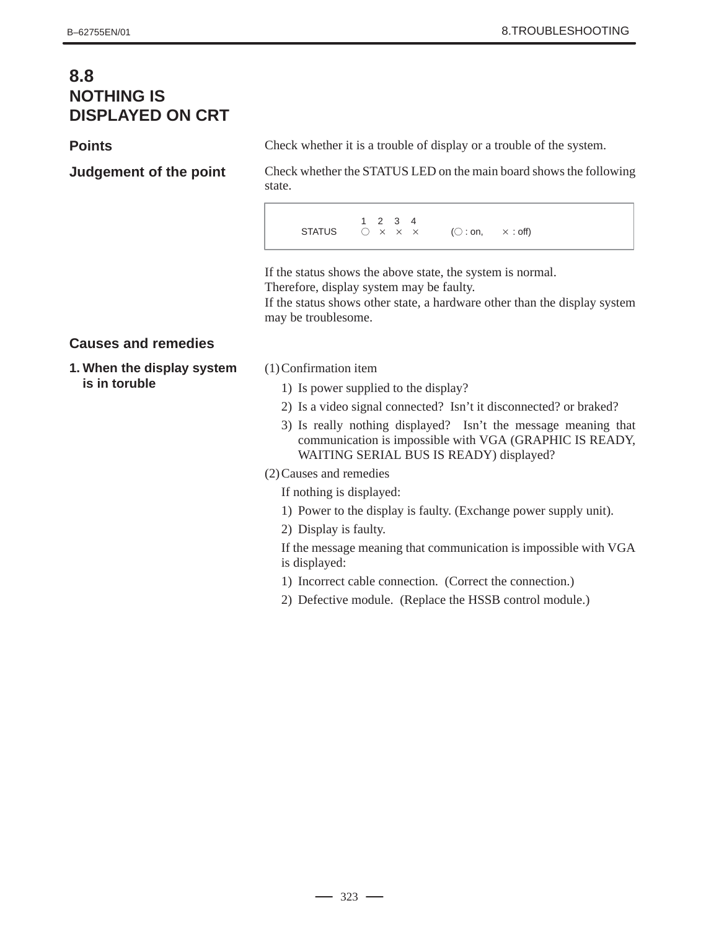# **8.8 NOTHING IS DISPLAYED ON CRT**

### **Points**

**Judgement of the point**

Check whether it is a trouble of display or a trouble of the system.

Check whether the STATUS LED on the main board shows the following state.

1 2 3 4 **STATUS**  $\bigcap x \times x$  $\times$  ( $\bigcirc$  : on,  $\times$  $\times$  : off)

If the status shows the above state, the system is normal. Therefore, display system may be faulty.

If the status shows other state, a hardware other than the display system may be troublesome.

# **Causes and remedies**

- **1. When the display system is in toruble**
- (1)Confirmation item
	- 1) Is power supplied to the display?
	- 2) Is a video signal connected? Isn't it disconnected? or braked?
	- 3) Is really nothing displayed? Isn't the message meaning that communication is impossible with VGA (GRAPHIC IS READY, WAITING SERIAL BUS IS READY) displayed?

#### (2)Causes and remedies

If nothing is displayed:

- 1) Power to the display is faulty. (Exchange power supply unit).
- 2) Display is faulty.

If the message meaning that communication is impossible with VGA is displayed:

- 1) Incorrect cable connection. (Correct the connection.)
- 2) Defective module. (Replace the HSSB control module.)